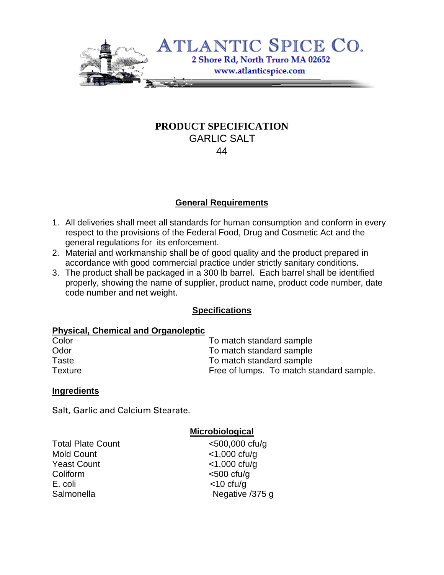

# **PRODUCT SPECIFICATION** GARLIC SALT 44

## **General Requirements**

- 1. All deliveries shall meet all standards for human consumption and conform in every respect to the provisions of the Federal Food, Drug and Cosmetic Act and the general regulations for its enforcement.
- 2. Material and workmanship shall be of good quality and the product prepared in accordance with good commercial practice under strictly sanitary conditions.
- 3. The product shall be packaged in a 300 lb barrel. Each barrel shall be identified properly, showing the name of supplier, product name, product code number, date code number and net weight.

## **Specifications**

#### **Physical, Chemical and Organoleptic**

| Color          | To match standard sample                 |  |  |  |
|----------------|------------------------------------------|--|--|--|
| Odor           | To match standard sample                 |  |  |  |
| Taste          | To match standard sample                 |  |  |  |
| <b>Texture</b> | Free of lumps. To match standard sample. |  |  |  |

#### **Ingredients**

Salt, Garlic and Calcium Stearate.

#### **Microbiological**

Total Plate Count <500,000 cfu/g Mold Count <1,000 cfu/g Yeast Count <1,000 cfu/g Coliform <500 cfu/g E. coli <10 cfu/g

Salmonella Negative /375 g